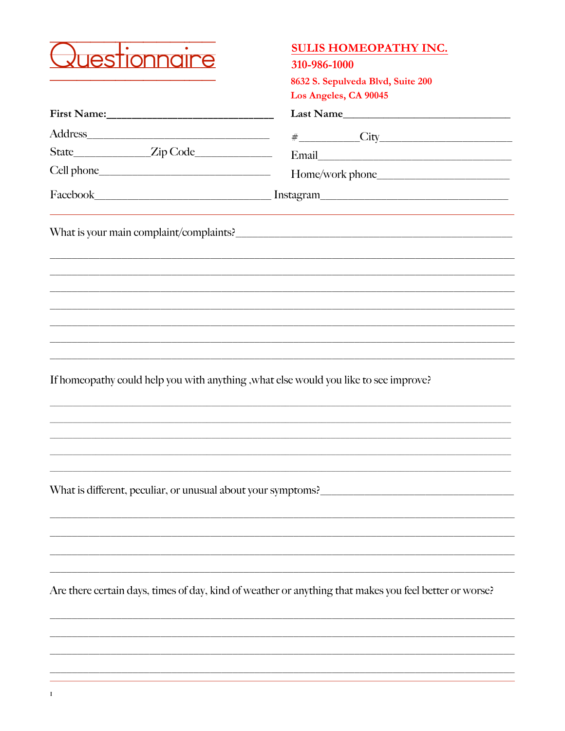

### **SULIS HOMEOPATHY INC.**

310-986-1000

8632 S. Sepulveda Blvd, Suite 200 Los Angeles  $C_A$  00045

|                                                                                       | LOS Angeles, CA 90045                                                                                                                                                                                                                      |  |  |  |
|---------------------------------------------------------------------------------------|--------------------------------------------------------------------------------------------------------------------------------------------------------------------------------------------------------------------------------------------|--|--|--|
|                                                                                       |                                                                                                                                                                                                                                            |  |  |  |
|                                                                                       | $\#$ City<br>Email Contract Communications of the Communication of the Communication of the Communication of the Communication of the Communication of the Communication of the Communication of the Communication of the Communication of |  |  |  |
|                                                                                       |                                                                                                                                                                                                                                            |  |  |  |
|                                                                                       |                                                                                                                                                                                                                                            |  |  |  |
|                                                                                       |                                                                                                                                                                                                                                            |  |  |  |
|                                                                                       |                                                                                                                                                                                                                                            |  |  |  |
|                                                                                       |                                                                                                                                                                                                                                            |  |  |  |
|                                                                                       |                                                                                                                                                                                                                                            |  |  |  |
|                                                                                       |                                                                                                                                                                                                                                            |  |  |  |
|                                                                                       |                                                                                                                                                                                                                                            |  |  |  |
| If homeopathy could help you with anything , what else would you like to see improve? |                                                                                                                                                                                                                                            |  |  |  |
|                                                                                       |                                                                                                                                                                                                                                            |  |  |  |
|                                                                                       |                                                                                                                                                                                                                                            |  |  |  |
|                                                                                       |                                                                                                                                                                                                                                            |  |  |  |
|                                                                                       | What is different, peculiar, or unusual about your symptoms?                                                                                                                                                                               |  |  |  |
|                                                                                       |                                                                                                                                                                                                                                            |  |  |  |
|                                                                                       |                                                                                                                                                                                                                                            |  |  |  |
|                                                                                       |                                                                                                                                                                                                                                            |  |  |  |

Are there certain days, times of day, kind of weather or anything that makes you feel better or worse?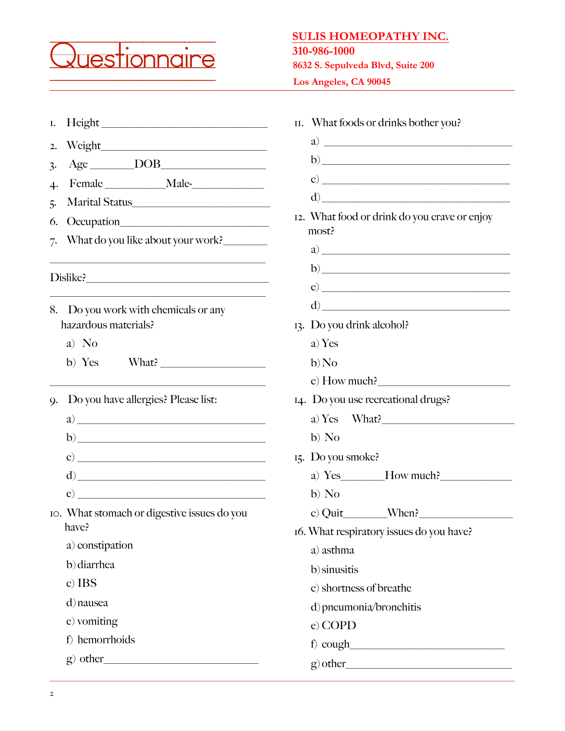

## **SULIS HOMEOPATHY INC.**

#### **310-986-1000**

**8632 S. Sepulveda Blvd, Suite 200**

**Los Angeles, CA 90045**

| Ι.                                                              | What foods or drinks bother you?<br>II.                                                                                                                                                                                                                                                                                                                            |  |  |
|-----------------------------------------------------------------|--------------------------------------------------------------------------------------------------------------------------------------------------------------------------------------------------------------------------------------------------------------------------------------------------------------------------------------------------------------------|--|--|
| 2.                                                              |                                                                                                                                                                                                                                                                                                                                                                    |  |  |
| $Age$ DOB<br>$\ddot{3}$                                         |                                                                                                                                                                                                                                                                                                                                                                    |  |  |
| 4.                                                              |                                                                                                                                                                                                                                                                                                                                                                    |  |  |
| Marital Status                                                  |                                                                                                                                                                                                                                                                                                                                                                    |  |  |
| Occupation<br>6.                                                | 12. What food or drink do you crave or enjoy                                                                                                                                                                                                                                                                                                                       |  |  |
| What do you like about your work?<br>7.                         | most?                                                                                                                                                                                                                                                                                                                                                              |  |  |
|                                                                 |                                                                                                                                                                                                                                                                                                                                                                    |  |  |
|                                                                 |                                                                                                                                                                                                                                                                                                                                                                    |  |  |
|                                                                 | $\left( \begin{array}{c} 0 \end{array} \right)$                                                                                                                                                                                                                                                                                                                    |  |  |
| Do you work with chemicals or any<br>8.<br>hazardous materials? | $\begin{picture}(150,10) \put(0,0){\vector(1,0){100}} \put(15,0){\vector(1,0){100}} \put(15,0){\vector(1,0){100}} \put(15,0){\vector(1,0){100}} \put(15,0){\vector(1,0){100}} \put(15,0){\vector(1,0){100}} \put(15,0){\vector(1,0){100}} \put(15,0){\vector(1,0){100}} \put(15,0){\vector(1,0){100}} \put(15,0){\vector(1,0){100}} \put(15,0){\vector(1,0){100}}$ |  |  |
|                                                                 | 13. Do you drink alcohol?                                                                                                                                                                                                                                                                                                                                          |  |  |
| a) No                                                           | a) Yes                                                                                                                                                                                                                                                                                                                                                             |  |  |
| b) Yes                                                          | $b)$ No                                                                                                                                                                                                                                                                                                                                                            |  |  |
|                                                                 | c) How much?                                                                                                                                                                                                                                                                                                                                                       |  |  |
| Do you have allergies? Please list:<br>9.                       | 14. Do you use recreational drugs?                                                                                                                                                                                                                                                                                                                                 |  |  |
|                                                                 | a) Yes What?                                                                                                                                                                                                                                                                                                                                                       |  |  |
|                                                                 | b) No                                                                                                                                                                                                                                                                                                                                                              |  |  |
| c) $\overline{\phantom{a}}$                                     | 15. Do you smoke?                                                                                                                                                                                                                                                                                                                                                  |  |  |
|                                                                 | a) $Yes$ $How$ much?                                                                                                                                                                                                                                                                                                                                               |  |  |
|                                                                 | b) No                                                                                                                                                                                                                                                                                                                                                              |  |  |
| IO. What stomach or digestive issues do you<br>have?            | c) Quit When?                                                                                                                                                                                                                                                                                                                                                      |  |  |
| a) constipation                                                 | 16. What respiratory issues do you have?                                                                                                                                                                                                                                                                                                                           |  |  |
| b) diarrhea                                                     | a) asthma                                                                                                                                                                                                                                                                                                                                                          |  |  |
| c) IBS                                                          | b) sinusitis                                                                                                                                                                                                                                                                                                                                                       |  |  |
|                                                                 | c) shortness of breathe                                                                                                                                                                                                                                                                                                                                            |  |  |
| d) nausea                                                       | d) pneumonia/bronchitis                                                                                                                                                                                                                                                                                                                                            |  |  |
| e) vomiting                                                     | e) COPD                                                                                                                                                                                                                                                                                                                                                            |  |  |
| f) hemorrhoids                                                  | $f)$ cough                                                                                                                                                                                                                                                                                                                                                         |  |  |
| $g$ ) other                                                     | $g$ ) other                                                                                                                                                                                                                                                                                                                                                        |  |  |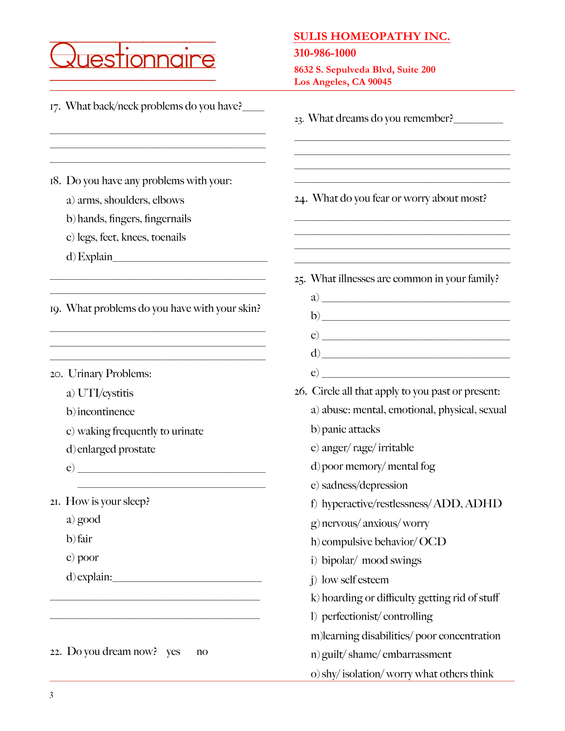|                                                                                                                                           | <b>SULIS HOMEOPATHY INC.</b>                                                                                                                                                                                                                                                                     |
|-------------------------------------------------------------------------------------------------------------------------------------------|--------------------------------------------------------------------------------------------------------------------------------------------------------------------------------------------------------------------------------------------------------------------------------------------------|
| estionna                                                                                                                                  | 310-986-1000<br>8632 S. Sepulveda Blvd, Suite 200                                                                                                                                                                                                                                                |
|                                                                                                                                           | Los Angeles, CA 90045                                                                                                                                                                                                                                                                            |
| 17. What back/neck problems do you have?                                                                                                  | 23. What dreams do you remember?                                                                                                                                                                                                                                                                 |
|                                                                                                                                           |                                                                                                                                                                                                                                                                                                  |
| 18. Do you have any problems with your:<br>a) arms, shoulders, elbows<br>b) hands, fingers, fingernails<br>c) legs, feet, knees, toenails | 24. What do you fear or worry about most?                                                                                                                                                                                                                                                        |
| $d)$ Explain                                                                                                                              |                                                                                                                                                                                                                                                                                                  |
|                                                                                                                                           | 25. What illnesses are common in your family?                                                                                                                                                                                                                                                    |
|                                                                                                                                           |                                                                                                                                                                                                                                                                                                  |
| 19. What problems do you have with your skin?                                                                                             | $b) \underline{\hspace{2cm}}$                                                                                                                                                                                                                                                                    |
|                                                                                                                                           |                                                                                                                                                                                                                                                                                                  |
|                                                                                                                                           | $\left( d \right)$                                                                                                                                                                                                                                                                               |
| 20. Urinary Problems:                                                                                                                     | $\mathbf{e}$ and $\mathbf{e}$ and $\mathbf{e}$ and $\mathbf{e}$ and $\mathbf{e}$ and $\mathbf{e}$ and $\mathbf{e}$ and $\mathbf{e}$ and $\mathbf{e}$ and $\mathbf{e}$ and $\mathbf{e}$ and $\mathbf{e}$ and $\mathbf{e}$ and $\mathbf{e}$ and $\mathbf{e}$ and $\mathbf{e}$ and $\mathbf{e}$ and |
| a) UTI/cystitis                                                                                                                           | 26. Circle all that apply to you past or present:                                                                                                                                                                                                                                                |
| b) incontinence                                                                                                                           | a) abuse: mental, emotional, physical, sexual                                                                                                                                                                                                                                                    |
| c) waking frequently to urinate                                                                                                           | b) panic attacks                                                                                                                                                                                                                                                                                 |
| d) enlarged prostate                                                                                                                      | c) anger/rage/irritable                                                                                                                                                                                                                                                                          |
|                                                                                                                                           | d) poor memory/mental fog                                                                                                                                                                                                                                                                        |
|                                                                                                                                           | e) sadness/depression                                                                                                                                                                                                                                                                            |
| 21. How is your sleep?                                                                                                                    | f) hyperactive/restlessness/ADD, ADHD                                                                                                                                                                                                                                                            |
| a) good                                                                                                                                   | g) nervous/ anxious/ worry                                                                                                                                                                                                                                                                       |
| b) fair                                                                                                                                   | h) compulsive behavior/ OCD                                                                                                                                                                                                                                                                      |
| c) poor                                                                                                                                   | i) bipolar/ mood swings                                                                                                                                                                                                                                                                          |
|                                                                                                                                           | j) low self esteem                                                                                                                                                                                                                                                                               |
|                                                                                                                                           | k) hoarding or difficulty getting rid of stuff                                                                                                                                                                                                                                                   |
|                                                                                                                                           | 1) perfectionist/controlling                                                                                                                                                                                                                                                                     |
|                                                                                                                                           | m)learning disabilities/poor concentration                                                                                                                                                                                                                                                       |
| 22. Do you dream now? yes<br>no                                                                                                           | n) guilt/shame/embarrassment                                                                                                                                                                                                                                                                     |
|                                                                                                                                           | o) shy/isolation/worry what others think                                                                                                                                                                                                                                                         |